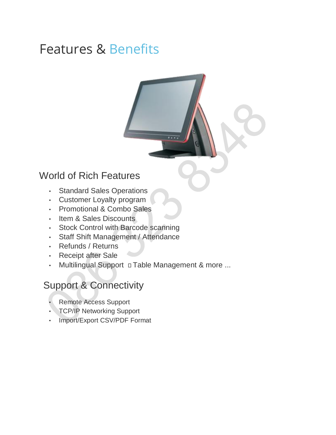# Features & Benefits

#### World of Rich Features

- Standard Sales Operations
- Customer Loyalty program
- Promotional & Combo Sales
- Item & Sales Discounts
- Stock Control with Barcode scanning
- Staff Shift Management / Attendance
- Refunds / Returns
- Receipt after Sale
- Multilingual Support D Table Management & more ...

## Support & Connectivity

- Remote Access Support
- TCP/IP Networking Support
- Import/Export CSV/PDF Format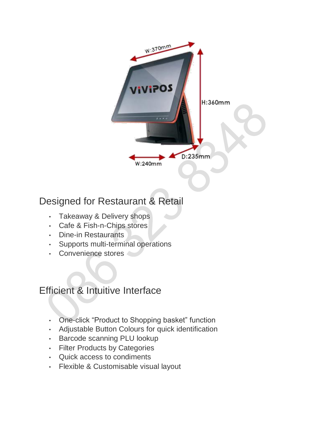

# Designed for Restaurant & Retail

- Takeaway & Delivery shops
- Cafe & Fish-n-Chips stores
- Dine-in Restaurants
- Supports multi-terminal operations
- Convenience stores

## Efficient & Intuitive Interface

- One-click "Product to Shopping basket" function
- Adjustable Button Colours for quick identification
- Barcode scanning PLU lookup
- Filter Products by Categories
- Quick access to condiments
- Flexible & Customisable visual layout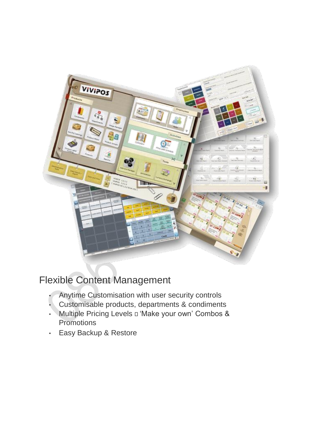

# Flexible Content Management

- Anytime Customisation with user security controls
- Customisable products, departments & condiments
- Multiple Pricing Levels a 'Make your own' Combos & **Promotions**
- Easy Backup & Restore